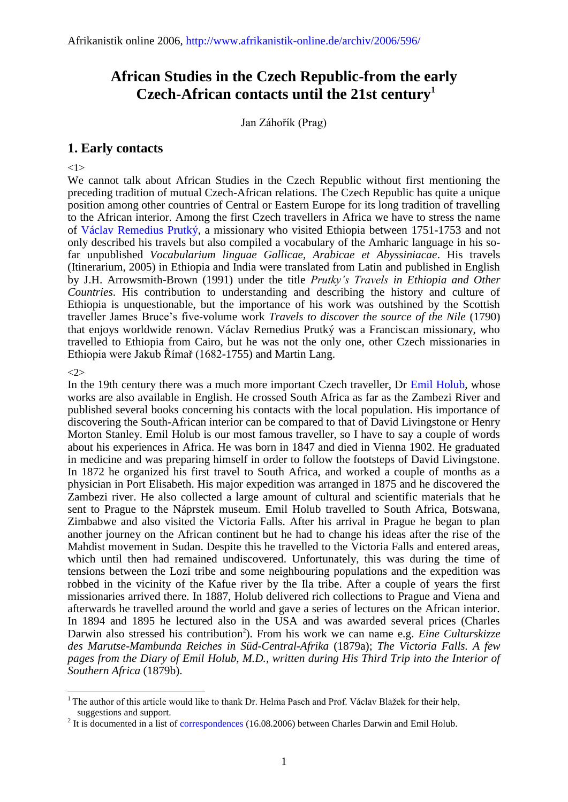# **African Studies in the Czech Republic-from the early Czech-African contacts until the 21st century<sup>1</sup>**

Jan Záhořík (Prag)

# **1. Early contacts**

 $<1>$ 

We cannot talk about African Studies in the Czech Republic without first mentioning the preceding tradition of mutual Czech-African relations. The Czech Republic has quite a unique position among other countries of Central or Eastern Europe for its long tradition of travelling to the African interior. Among the first Czech travellers in Africa we have to stress the name of [Václav Remedius Prutký,](http://www.libri.cz/databaze/orient/search.php?name=Prutk%FD) a missionary who visited Ethiopia between 1751-1753 and not only described his travels but also compiled a vocabulary of the Amharic language in his sofar unpublished *Vocabularium linguae Gallicae, Arabicae et Abyssiniacae*. His travels (Itinerarium, 2005) in Ethiopia and India were translated from Latin and published in English by J.H. Arrowsmith-Brown (1991) under the title *Prutky's Travels in Ethiopia and Other Countries*. His contribution to understanding and describing the history and culture of Ethiopia is unquestionable, but the importance of his work was outshined by the Scottish traveller James Bruce's five-volume work *Travels to discover the source of the Nile* (1790) that enjoys worldwide renown. Václav Remedius Prutký was a Franciscan missionary, who travelled to Ethiopia from Cairo, but he was not the only one, other Czech missionaries in Ethiopia were Jakub Římař (1682-1755) and Martin Lang.

## <2>

 $\overline{a}$ 

In the 19th century there was a much more important Czech traveller, Dr [Emil Holub,](http://www.mzv.cz/harare/en/historical_ties/emil_holub_first_cartographer_of_the/index.html) whose works are also available in English. He crossed South Africa as far as the Zambezi River and published several books concerning his contacts with the local population. His importance of discovering the South-African interior can be compared to that of David Livingstone or Henry Morton Stanley. Emil Holub is our most famous traveller, so I have to say a couple of words about his experiences in Africa. He was born in 1847 and died in Vienna 1902. He graduated in medicine and was preparing himself in order to follow the footsteps of David Livingstone. In 1872 he organized his first travel to South Africa, and worked a couple of months as a physician in Port Elisabeth. His major expedition was arranged in 1875 and he discovered the Zambezi river. He also collected a large amount of cultural and scientific materials that he sent to Prague to the Náprstek museum. Emil Holub travelled to South Africa, Botswana, Zimbabwe and also visited the Victoria Falls. After his arrival in Prague he began to plan another journey on the African continent but he had to change his ideas after the rise of the Mahdist movement in Sudan. Despite this he travelled to the Victoria Falls and entered areas, which until then had remained undiscovered. Unfortunately, this was during the time of tensions between the Lozi tribe and some neighbouring populations and the expedition was robbed in the vicinity of the Kafue river by the Ila tribe. After a couple of years the first missionaries arrived there. In 1887, Holub delivered rich collections to Prague and Viena and afterwards he travelled around the world and gave a series of lectures on the African interior. In 1894 and 1895 he lectured also in the USA and was awarded several prices (Charles Darwin also stressed his contribution<sup>2</sup>). From his work we can name e.g. *Eine Culturskizze des Marutse-Mambunda Reiches in Süd-Central-Afrika* (1879a); *The Victoria Falls. A few pages from the Diary of Emil Holub, M.D., written during His Third Trip into the Interior of Southern Africa* (1879b).

<sup>&</sup>lt;sup>1</sup> The author of this article would like to thank Dr. Helma Pasch and Prof. Václav Blažek for their help, suggestions and support.

 $2^{2}$  It is documented in a list of [correspondences](http://www.darwinproject.ac.uk/) (16.08.2006) between Charles Darwin and Emil Holub.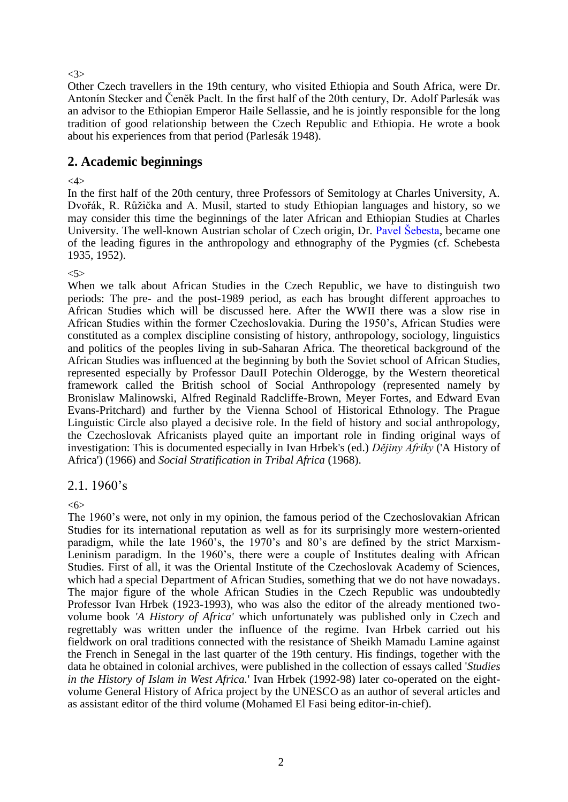<3>

Other Czech travellers in the 19th century, who visited Ethiopia and South Africa, were Dr. Antonín Stecker and Čeněk Paclt. In the first half of the 20th century, Dr. Adolf Parlesák was an advisor to the Ethiopian Emperor Haile Sellassie, and he is jointly responsible for the long tradition of good relationship between the Czech Republic and Ethiopia. He wrote a book about his experiences from that period (Parlesák 1948).

# **2. Academic beginnings**

<4>

In the first half of the 20th century, three Professors of Semitology at Charles University, A. Dvořák, R. Růžička and A. Musil, started to study Ethiopian languages and history, so we may consider this time the beginnings of the later African and Ethiopian Studies at Charles University. The well-known Austrian scholar of Czech origin, Dr. [Pavel Šebesta,](http://austria-lexikon.at/af/Wissenssammlungen/Biographien/Schebesta,_Paul) became one of the leading figures in the anthropology and ethnography of the Pygmies (cf. Schebesta 1935, 1952).

 $<5>$ 

When we talk about African Studies in the Czech Republic, we have to distinguish two periods: The pre- and the post-1989 period, as each has brought different approaches to African Studies which will be discussed here. After the WWII there was a slow rise in African Studies within the former Czechoslovakia. During the 1950's, African Studies were constituted as a complex discipline consisting of history, anthropology, sociology, linguistics and politics of the peoples living in sub-Saharan Africa. The theoretical background of the African Studies was influenced at the beginning by both the Soviet school of African Studies, represented especially by Professor DauII Potechin Olderogge, by the Western theoretical framework called the British school of Social Anthropology (represented namely by Bronislaw Malinowski, Alfred Reginald Radcliffe-Brown, Meyer Fortes, and Edward Evan Evans-Pritchard) and further by the Vienna School of Historical Ethnology. The Prague Linguistic Circle also played a decisive role. In the field of history and social anthropology, the Czechoslovak Africanists played quite an important role in finding original ways of investigation: This is documented especially in Ivan Hrbek's (ed.) *Dějiny Afriky* ('A History of Africa') (1966) and *Social Stratification in Tribal Africa* (1968).

# 2.1. 1960's

<6>

The 1960's were, not only in my opinion, the famous period of the Czechoslovakian African Studies for its international reputation as well as for its surprisingly more western-oriented paradigm, while the late 1960's, the 1970's and 80's are defined by the strict Marxism-Leninism paradigm. In the 1960's, there were a couple of Institutes dealing with African Studies. First of all, it was the Oriental Institute of the Czechoslovak Academy of Sciences, which had a special Department of African Studies, something that we do not have nowadays. The major figure of the whole African Studies in the Czech Republic was undoubtedly Professor Ivan Hrbek (1923-1993), who was also the editor of the already mentioned twovolume book *'A History of Africa'* which unfortunately was published only in Czech and regrettably was written under the influence of the regime. Ivan Hrbek carried out his fieldwork on oral traditions connected with the resistance of Sheikh Mamadu Lamine against the French in Senegal in the last quarter of the 19th century. His findings, together with the data he obtained in colonial archives, were published in the collection of essays called '*Studies in the History of Islam in West Africa.*' Ivan Hrbek (1992-98) later co-operated on the eightvolume General History of Africa project by the UNESCO as an author of several articles and as assistant editor of the third volume (Mohamed El Fasi being editor-in-chief).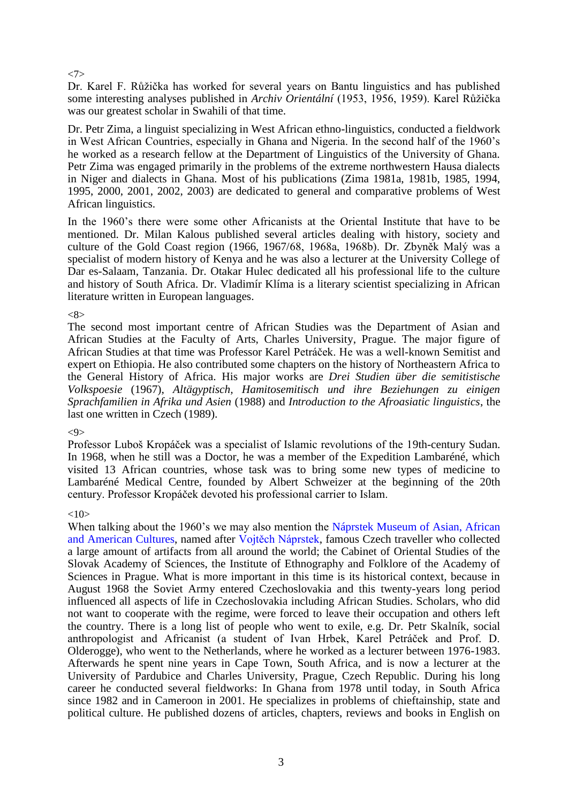## <7>

Dr. Karel F. Růžička has worked for several years on Bantu linguistics and has published some interesting analyses published in *Archiv Orientální* (1953, 1956, 1959). Karel Růžička was our greatest scholar in Swahili of that time.

Dr. Petr Zima, a linguist specializing in West African ethno-linguistics, conducted a fieldwork in West African Countries, especially in Ghana and Nigeria. In the second half of the 1960's he worked as a research fellow at the Department of Linguistics of the University of Ghana. Petr Zima was engaged primarily in the problems of the extreme northwestern Hausa dialects in Niger and dialects in Ghana. Most of his publications (Zima 1981a, 1981b, 1985, 1994, 1995, 2000, 2001, 2002, 2003) are dedicated to general and comparative problems of West African linguistics.

In the 1960's there were some other Africanists at the Oriental Institute that have to be mentioned. Dr. Milan Kalous published several articles dealing with history, society and culture of the Gold Coast region (1966, 1967/68, 1968a, 1968b). Dr. Zbyněk Malý was a specialist of modern history of Kenya and he was also a lecturer at the University College of Dar es-Salaam, Tanzania. Dr. Otakar Hulec dedicated all his professional life to the culture and history of South Africa. Dr. Vladimír Klíma is a literary scientist specializing in African literature written in European languages.

# $<\!\!8\!\!>$

The second most important centre of African Studies was the Department of Asian and African Studies at the Faculty of Arts, Charles University, Prague. The major figure of African Studies at that time was Professor Karel Petráček. He was a well-known Semitist and expert on Ethiopia. He also contributed some chapters on the history of Northeastern Africa to the General History of Africa. His major works are *Drei Studien über die semitistische Volkspoesie* (1967), *Altägyptisch, Hamitosemitisch und ihre Beziehungen zu einigen Sprachfamilien in Afrika und Asien* (1988) and *Introduction to the Afroasiatic linguistics*, the last one written in Czech (1989).

# $<9>$

Professor Luboš Kropáček was a specialist of Islamic revolutions of the 19th-century Sudan. In 1968, when he still was a Doctor, he was a member of the Expedition Lambaréné, which visited 13 African countries, whose task was to bring some new types of medicine to Lambaréné Medical Centre, founded by Albert Schweizer at the beginning of the 20th century. Professor Kropáček devoted his professional carrier to Islam.

# $<10>$

When talking about the 1960's we may also mention the Náprstek Museum of Asian, African [and American Cultures,](http://www.prague.net/naprstek-museum) named after [Vojtěch Náprstek,](http://www.quido.cz/osobnosti/naprstek.htm) famous Czech traveller who collected a large amount of artifacts from all around the world; the Cabinet of Oriental Studies of the Slovak Academy of Sciences, the Institute of Ethnography and Folklore of the Academy of Sciences in Prague. What is more important in this time is its historical context, because in August 1968 the Soviet Army entered Czechoslovakia and this twenty-years long period influenced all aspects of life in Czechoslovakia including African Studies. Scholars, who did not want to cooperate with the regime, were forced to leave their occupation and others left the country. There is a long list of people who went to exile, e.g. Dr. Petr Skalník, social anthropologist and Africanist (a student of Ivan Hrbek, Karel Petráček and Prof. D. Olderogge), who went to the Netherlands, where he worked as a lecturer between 1976-1983. Afterwards he spent nine years in Cape Town, South Africa, and is now a lecturer at the University of Pardubice and Charles University, Prague, Czech Republic. During his long career he conducted several fieldworks: In Ghana from 1978 until today, in South Africa since 1982 and in Cameroon in 2001. He specializes in problems of chieftainship, state and political culture. He published dozens of articles, chapters, reviews and books in English on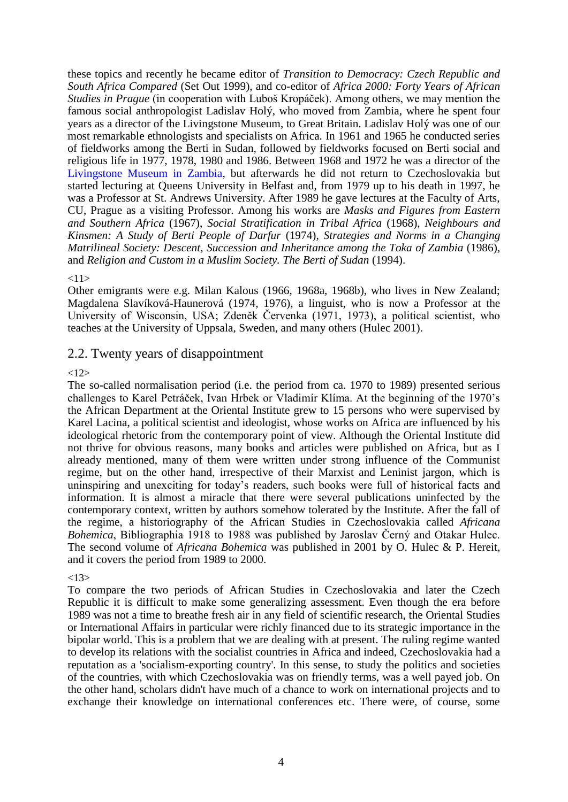these topics and recently he became editor of *Transition to Democracy: Czech Republic and South Africa Compared* (Set Out 1999), and co-editor of *Africa 2000: Forty Years of African Studies in Prague* (in cooperation with Luboš Kropáček). Among others, we may mention the famous social anthropologist Ladislav Holý, who moved from Zambia, where he spent four years as a director of the Livingstone Museum, to Great Britain. Ladislav Holý was one of our most remarkable ethnologists and specialists on Africa. In 1961 and 1965 he conducted series of fieldworks among the Berti in Sudan, followed by fieldworks focused on Berti social and religious life in 1977, 1978, 1980 and 1986. Between 1968 and 1972 he was a director of the [Livingstone Museum in Zambia,](http://www.zambiatourism.com/travel/places/museum.htm) but afterwards he did not return to Czechoslovakia but started lecturing at Queens University in Belfast and, from 1979 up to his death in 1997, he was a Professor at St. Andrews University. After 1989 he gave lectures at the Faculty of Arts, CU, Prague as a visiting Professor. Among his works are *Masks and Figures from Eastern and Southern Africa* (1967), *Social Stratification in Tribal Africa* (1968), *Neighbours and Kinsmen: A Study of Berti People of Darfur* (1974), *Strategies and Norms in a Changing Matrilineal Society: Descent, Succession and Inheritance among the Toka of Zambia* (1986), and *Religion and Custom in a Muslim Society. The Berti of Sudan* (1994).

# <11>

Other emigrants were e.g. Milan Kalous (1966, 1968a, 1968b), who lives in New Zealand; Magdalena Slavíková-Haunerová (1974, 1976), a linguist, who is now a Professor at the University of Wisconsin, USA; Zdeněk Červenka (1971, 1973), a political scientist, who teaches at the University of Uppsala, Sweden, and many others (Hulec 2001).

# 2.2. Twenty years of disappointment

# $<12>$

The so-called normalisation period (i.e. the period from ca. 1970 to 1989) presented serious challenges to Karel Petráček, Ivan Hrbek or Vladimír Klíma. At the beginning of the 1970's the African Department at the Oriental Institute grew to 15 persons who were supervised by Karel Lacina, a political scientist and ideologist, whose works on Africa are influenced by his ideological rhetoric from the contemporary point of view. Although the Oriental Institute did not thrive for obvious reasons, many books and articles were published on Africa, but as I already mentioned, many of them were written under strong influence of the Communist regime, but on the other hand, irrespective of their Marxist and Leninist jargon, which is uninspiring and unexciting for today's readers, such books were full of historical facts and information. It is almost a miracle that there were several publications uninfected by the contemporary context, written by authors somehow tolerated by the Institute. After the fall of the regime, a historiography of the African Studies in Czechoslovakia called *Africana Bohemica*, Bibliographia 1918 to 1988 was published by Jaroslav Černý and Otakar Hulec. The second volume of *Africana Bohemica* was published in 2001 by O. Hulec & P. Hereit, and it covers the period from 1989 to 2000.

# $<13>$

To compare the two periods of African Studies in Czechoslovakia and later the Czech Republic it is difficult to make some generalizing assessment. Even though the era before 1989 was not a time to breathe fresh air in any field of scientific research, the Oriental Studies or International Affairs in particular were richly financed due to its strategic importance in the bipolar world. This is a problem that we are dealing with at present. The ruling regime wanted to develop its relations with the socialist countries in Africa and indeed, Czechoslovakia had a reputation as a 'socialism-exporting country'. In this sense, to study the politics and societies of the countries, with which Czechoslovakia was on friendly terms, was a well payed job. On the other hand, scholars didn't have much of a chance to work on international projects and to exchange their knowledge on international conferences etc. There were, of course, some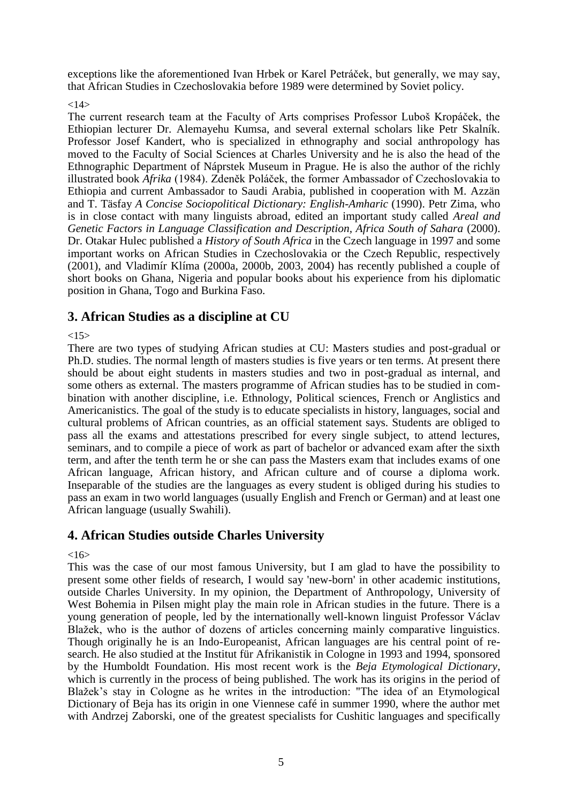exceptions like the aforementioned Ivan Hrbek or Karel Petráček, but generally, we may say, that African Studies in Czechoslovakia before 1989 were determined by Soviet policy.

# $<14>$

The current research team at the Faculty of Arts comprises Professor Luboš Kropáček, the Ethiopian lecturer Dr. Alemayehu Kumsa, and several external scholars like Petr Skalník. Professor Josef Kandert, who is specialized in ethnography and social anthropology has moved to the Faculty of Social Sciences at Charles University and he is also the head of the Ethnographic Department of Náprstek Museum in Prague. He is also the author of the richly illustrated book *Afrika* (1984). Zdeněk Poláček, the former Ambassador of Czechoslovakia to Ethiopia and current Ambassador to Saudi Arabia, published in cooperation with M. Azzän and T. Täsfay *A Concise Sociopolitical Dictionary: English-Amharic* (1990). Petr Zima, who is in close contact with many linguists abroad, edited an important study called *Areal and Genetic Factors in Language Classification and Description, Africa South of Sahara* (2000). Dr. Otakar Hulec published a *History of South Africa* in the Czech language in 1997 and some important works on African Studies in Czechoslovakia or the Czech Republic, respectively (2001), and Vladimír Klíma (2000a, 2000b, 2003, 2004) has recently published a couple of short books on Ghana, Nigeria and popular books about his experience from his diplomatic position in Ghana, Togo and Burkina Faso.

# **3. African Studies as a discipline at CU**

 $<15>$ 

There are two types of studying African studies at CU: Masters studies and post-gradual or Ph.D. studies. The normal length of masters studies is five years or ten terms. At present there should be about eight students in masters studies and two in post-gradual as internal, and some others as external. The masters programme of African studies has to be studied in combination with another discipline, i.e. Ethnology, Political sciences, French or Anglistics and Americanistics. The goal of the study is to educate specialists in history, languages, social and cultural problems of African countries, as an official statement says. Students are obliged to pass all the exams and attestations prescribed for every single subject, to attend lectures, seminars, and to compile a piece of work as part of bachelor or advanced exam after the sixth term, and after the tenth term he or she can pass the Masters exam that includes exams of one African language, African history, and African culture and of course a diploma work. Inseparable of the studies are the languages as every student is obliged during his studies to pass an exam in two world languages (usually English and French or German) and at least one African language (usually Swahili).

# **4. African Studies outside Charles University**

 $<16>$ 

This was the case of our most famous University, but I am glad to have the possibility to present some other fields of research, I would say 'new-born' in other academic institutions, outside Charles University. In my opinion, the Department of Anthropology, University of West Bohemia in Pilsen might play the main role in African studies in the future. There is a young generation of people, led by the internationally well-known linguist Professor Václav Blažek, who is the author of dozens of articles concerning mainly comparative linguistics. Though originally he is an Indo-Europeanist, African languages are his central point of research. He also studied at the Institut für Afrikanistik in Cologne in 1993 and 1994, sponsored by the Humboldt Foundation. His most recent work is the *Beja Etymological Dictionary*, which is currently in the process of being published. The work has its origins in the period of Blažek's stay in Cologne as he writes in the introduction: "The idea of an Etymological Dictionary of Beja has its origin in one Viennese café in summer 1990, where the author met with Andrzej Zaborski, one of the greatest specialists for Cushitic languages and specifically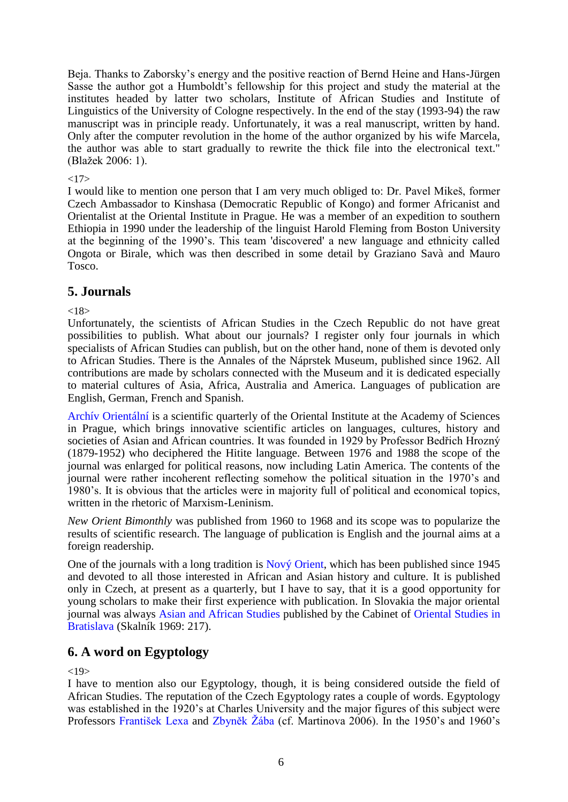Beja. Thanks to Zaborsky's energy and the positive reaction of Bernd Heine and Hans-Jürgen Sasse the author got a Humboldt's fellowship for this project and study the material at the institutes headed by latter two scholars, Institute of African Studies and Institute of Linguistics of the University of Cologne respectively. In the end of the stay (1993-94) the raw manuscript was in principle ready. Unfortunately, it was a real manuscript, written by hand. Only after the computer revolution in the home of the author organized by his wife Marcela, the author was able to start gradually to rewrite the thick file into the electronical text." (Blažek 2006: 1).

# $<17>$

I would like to mention one person that I am very much obliged to: Dr. Pavel Mikeš, former Czech Ambassador to Kinshasa (Democratic Republic of Kongo) and former Africanist and Orientalist at the Oriental Institute in Prague. He was a member of an expedition to southern Ethiopia in 1990 under the leadership of the linguist Harold Fleming from Boston University at the beginning of the 1990's. This team 'discovered' a new language and ethnicity called Ongota or Birale, which was then described in some detail by Graziano Savà and Mauro Tosco.

# **5. Journals**

 $< 18$ 

Unfortunately, the scientists of African Studies in the Czech Republic do not have great possibilities to publish. What about our journals? I register only four journals in which specialists of African Studies can publish, but on the other hand, none of them is devoted only to African Studies. There is the Annales of the Náprstek Museum, published since 1962. All contributions are made by scholars connected with the Museum and it is dedicated especially to material cultures of Asia, Africa, Australia and America. Languages of publication are English, German, French and Spanish.

[Archív Orientální](http://www.lib.cas.cz/casopisy/cz/Archiv_orientalni.htm) [i](http://www.lib.cas.cz/casopisy/cz/Archiv_orientalni.htm)s a scientific quarterly of the Oriental Institute at the Academy of Sciences in Prague, which brings innovative scientific articles on languages, cultures, history and societies of Asian and African countries. It was founded in 1929 by Professor Bedřich Hrozný (1879-1952) who deciphered the Hitite language. Between 1976 and 1988 the scope of the journal was enlarged for political reasons, now including Latin America. The contents of the journal were rather incoherent reflecting somehow the political situation in the 1970's and 1980's. It is obvious that the articles were in majority full of political and economical topics, written in the rhetoric of Marxism-Leninism.

*New Orient Bimonthly* was published from 1960 to 1968 and its scope was to popularize the results of scientific research. The language of publication is English and the journal aims at a foreign readership.

One of the journals with a long tradition is [Nový Orient,](http://www.orient.cas.cz/odd/red/no/no.htm) which has been published since 1945 and devoted to all those interested in African and Asian history and culture. It is published only in Czech, at present as a quarterly, but I have to say, that it is a good opportunity for young scholars to make their first experience with publication. In Slovakia the major oriental journal was always [Asian and African Studies](http://jas.sagepub.com/) published by the Cabinet of [Oriental Studies in](http://orient.sav.sk/)  [Bratislava](http://orient.sav.sk/) (Skalník 1969: 217).

# **6. A word on Egyptology**

 $<19$ 

I have to mention also our Egyptology, though, it is being considered outside the field of African Studies. The reputation of the Czech Egyptology rates a couple of words. Egyptology was established in the 1920's at Charles University and the major figures of this subject were Professors [František Lexa](http://www.quido.cz/176/lexa.htm) and Zbyněk Žába (cf. Martinova 2006). In the 1950's and 1960's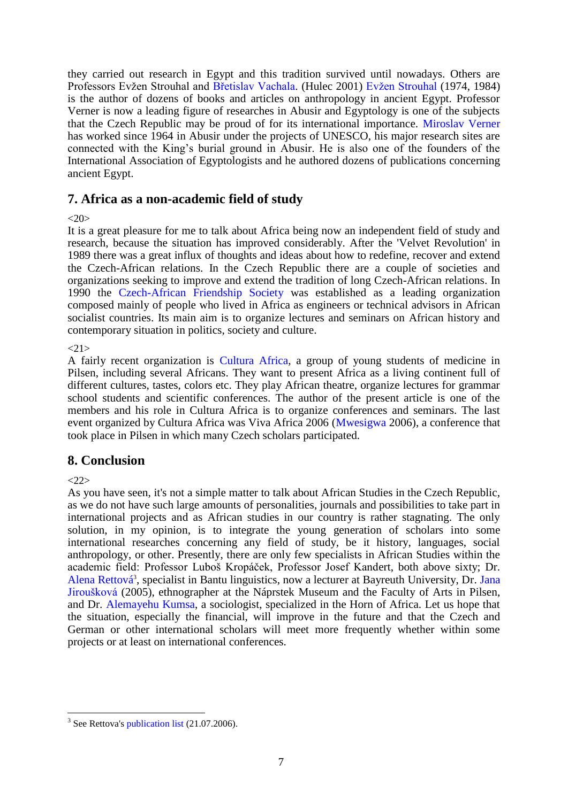they carried out research in Egypt and this tradition survived until nowadays. Others are Professors Evžen Strouhal and [Břetislav Vachala.](http://www.dainst.org/index_6198_de.html) (Hulec 2001) Evžen Strouhal (1974, 1984) is the author of dozens of books and articles on anthropology in ancient Egypt. Professor Verner is now a leading figure of researches in Abusir and Egyptology is one of the subjects that the Czech Republic may be proud of for its international importance. [Miroslav Verner](http://en.wikipedia.org/w/index.php?title=Miroslav_Verner&oldid=71866015) has worked since 1964 in Abusir under the projects of UNESCO, his major research sites are connected with the King's burial ground in Abusir. He is also one of the founders of the International Association of Egyptologists and he authored dozens of publications concerning ancient Egypt.

# **7. Africa as a non-academic field of study**

# $<20>$

It is a great pleasure for me to talk about Africa being now an independent field of study and research, because the situation has improved considerably. After the 'Velvet Revolution' in 1989 there was a great influx of thoughts and ideas about how to redefine, recover and extend the Czech-African relations. In the Czech Republic there are a couple of societies and organizations seeking to improve and extend the tradition of long Czech-African relations. In 1990 the [Czech-African Friendship Society](http://www.spa.afrikaonline.cz/) was established as a leading organization composed mainly of people who lived in Africa as engineers or technical advisors in African socialist countries. Its main aim is to organize lectures and seminars on African history and contemporary situation in politics, society and culture.

 $<21>$ 

A fairly recent organization is [Cultura Africa,](http://www.culturaafrica.org/) a group of young students of medicine in Pilsen, including several Africans. They want to present Africa as a living continent full of different cultures, tastes, colors etc. They play African theatre, organize lectures for grammar school students and scientific conferences. The author of the present article is one of the members and his role in Cultura Africa is to organize conferences and seminars. The last event organized by Cultura Africa was Viva Africa 2006 [\(Mwesigwa](mailto:mwesigwa@culturaafrica.org) 2006), a conference that took place in Pilsen in which many Czech scholars participated.

# **8. Conclusion**

 $222$ 

As you have seen, it's not a simple matter to talk about African Studies in the Czech Republic, as we do not have such large amounts of personalities, journals and possibilities to take part in international projects and as African studies in our country is rather stagnating. The only solution, in my opinion, is to integrate the young generation of scholars into some international researches concerning any field of study, be it history, languages, social anthropology, or other. Presently, there are only few specialists in African Studies within the academic field: Professor Luboš Kropáček, Professor Josef Kandert, both above sixty; Dr. [Alena Rettová](http://svi.ff.cuni.cz/r/rettova.htm)<sup>3</sup>, specialist in Bantu linguistics, now a lecturer at Bayreuth University, Dr. Jana [Jiroušková](http://www.kosmas.cz/hledani_vysledek.asp?autor=Jana%20Jirou%25u0161kov%E1) (2005), ethnographer at the Náprstek Museum and the Faculty of Arts in Pilsen, and Dr. [Alemayehu Kumsa,](http://ubva.ff.cuni.cz/kumsa.htm) a sociologist, specialized in the Horn of Africa. Let us hope that the situation, especially the financial, will improve in the future and that the Czech and German or other international scholars will meet more frequently whether within some projects or at least on international conferences.

 $\overline{a}$  $3$  See Rettova's [publication list](http://svi.ff.cuni.cz/r/rettova.htm) (21.07.2006).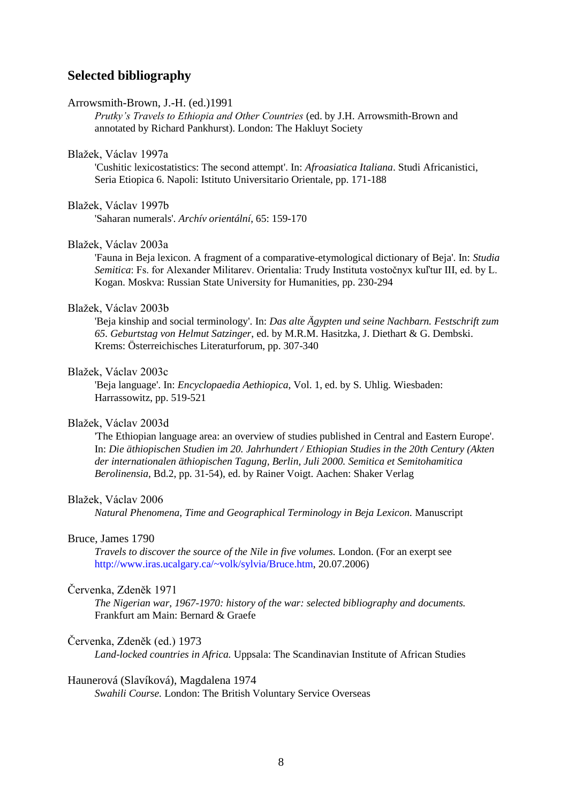# **Selected bibliography**

#### Arrowsmith-Brown, J.-H. (ed.)1991

*Prutky's Travels to Ethiopia and Other Countries* (ed. by J.H. Arrowsmith-Brown and annotated by Richard Pankhurst). London: The Hakluyt Society

## Blažek, Václav 1997a

'Cushitic lexicostatistics: The second attempt'. In: *Afroasiatica Italiana*. Studi Africanistici, Seria Etiopica 6. Napoli: Istituto Universitario Orientale, pp. 171-188

#### Blažek, Václav 1997b

'Saharan numerals'. *Archív orientální*, 65: 159-170

# Blažek, Václav 2003a

'Fauna in Beja lexicon. A fragment of a comparative-etymological dictionary of Beja'. In: *Studia Semitica*: Fs. for Alexander Militarev. Orientalia: Trudy Instituta vostočnyx kuľtur III, ed. by L. Kogan. Moskva: Russian State University for Humanities, pp. 230-294

## Blažek, Václav 2003b

'Beja kinship and social terminology'. In: *Das alte Ägypten und seine Nachbarn. Festschrift zum 65. Geburtstag von Helmut Satzinger*, ed. by M.R.M. Hasitzka, J. Diethart & G. Dembski. Krems: Österreichisches Literaturforum, pp. 307-340

## Blažek, Václav 2003c

'Beja language'. In: *Encyclopaedia Aethiopica*, Vol. 1, ed. by S. Uhlig. Wiesbaden: Harrassowitz, pp. 519-521

#### Blažek, Václav 2003d

'The Ethiopian language area: an overview of studies published in Central and Eastern Europe'. In: *Die äthiopischen Studien im 20. Jahrhundert / Ethiopian Studies in the 20th Century (Akten der internationalen äthiopischen Tagung, Berlin, Juli 2000. Semitica et Semitohamitica Berolinensia*, Bd.2, pp. 31-54), ed. by Rainer Voigt. Aachen: Shaker Verlag

#### Blažek, Václav 2006

*Natural Phenomena, Time and Geographical Terminology in Beja Lexicon.* Manuscript

# Bruce, James 1790

*Travels to discover the source of the Nile in five volumes.* London. (For an exerpt see [http://www.iras.ucalgary.ca/~volk/sylvia/Bruce.htm,](http://www.iras.ucalgary.ca/~volk/sylvia/Bruce.htm) 20.07.2006)

# Červenka, Zdeněk 1971

*The Nigerian war, 1967-1970: history of the war: selected bibliography and documents.* Frankfurt am Main: Bernard & Graefe

#### Červenka, Zdeněk (ed.) 1973

*Land-locked countries in Africa.* Uppsala: The Scandinavian Institute of African Studies

#### Haunerová (Slavíková), Magdalena 1974

*Swahili Course.* London: The British Voluntary Service Overseas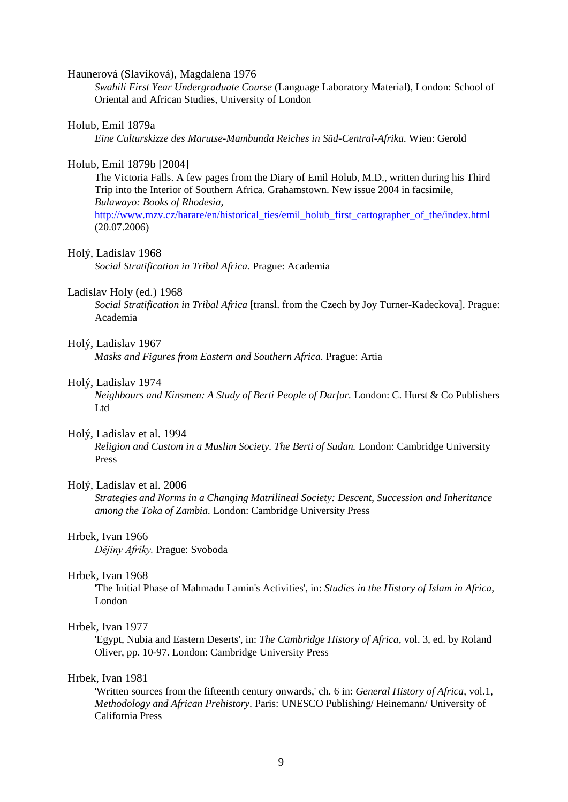#### Haunerová (Slavíková), Magdalena 1976

*Swahili First Year Undergraduate Course* (Language Laboratory Material), London: School of Oriental and African Studies, University of London

#### Holub, Emil 1879a

*Eine Culturskizze des Marutse-Mambunda Reiches in Süd-Central-Afrika.* Wien: Gerold

#### Holub, Emil 1879b [2004]

The Victoria Falls. A few pages from the Diary of Emil Holub, M.D., written during his Third Trip into the Interior of Southern Africa. Grahamstown. New issue 2004 in facsimile, *Bulawayo: Books of Rhodesia,*

[http://www.mzv.cz/harare/en/historical\\_ties/emil\\_holub\\_first\\_cartographer\\_of\\_the/index.html](http://www.mzv.cz/harare/en/historical_ties/emil_holub_first_cartographer_of_the/index.html) (20.07.2006)

#### Holý, Ladislav 1968

*Social Stratification in Tribal Africa.* Prague: Academia

## Ladislav Holy (ed.) 1968

*Social Stratification in Tribal Africa* [transl. from the Czech by Joy Turner-Kadeckova]. Prague: Academia

#### Holý, Ladislav 1967

*Masks and Figures from Eastern and Southern Africa.* Prague: Artia

## Holý, Ladislav 1974

*Neighbours and Kinsmen: A Study of Berti People of Darfur.* London: C. Hurst & Co Publishers Ltd

#### Holý, Ladislav et al. 1994

*Religion and Custom in a Muslim Society. The Berti of Sudan.* London: Cambridge University Press

# Holý, Ladislav et al. 2006

*Strategies and Norms in a Changing Matrilineal Society: Descent, Succession and Inheritance among the Toka of Zambia.* London: Cambridge University Press

#### Hrbek, Ivan 1966

*Dějiny Afriky.* Prague: Svoboda

#### Hrbek, Ivan 1968

'The Initial Phase of Mahmadu Lamin's Activities', in: *Studies in the History of Islam in Africa*, London

## Hrbek, Ivan 1977

'Egypt, Nubia and Eastern Deserts', in: *The Cambridge History of Africa*, vol. 3, ed. by Roland Oliver, pp. 10-97. London: Cambridge University Press

#### Hrbek, Ivan 1981

'Written sources from the fifteenth century onwards,' ch. 6 in: *General History of Africa*, vol.1, *Methodology and African Prehistory*. Paris: UNESCO Publishing/ Heinemann/ University of California Press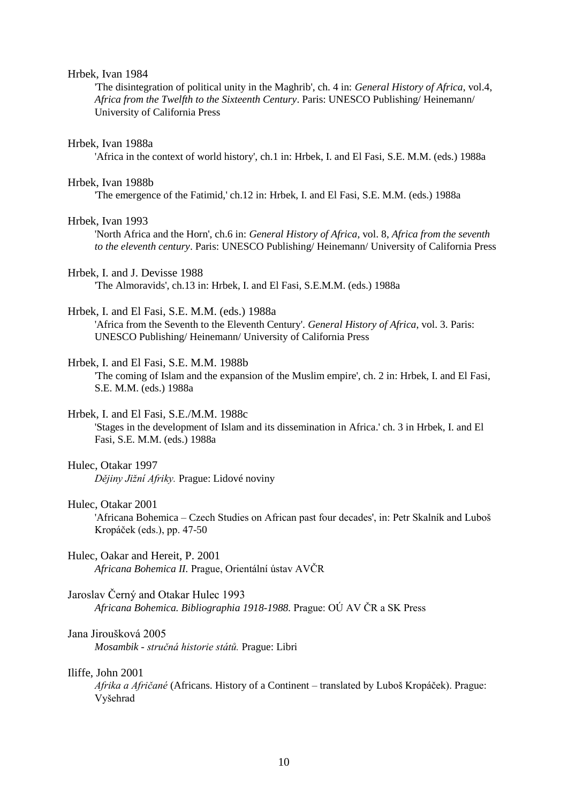#### Hrbek, Ivan 1984

'The disintegration of political unity in the Maghrib', ch. 4 in: *General History of Africa*, vol.4, *Africa from the Twelfth to the Sixteenth Century*. Paris: UNESCO Publishing/ Heinemann/ University of California Press

#### Hrbek, Ivan 1988a

'Africa in the context of world history', ch.1 in: Hrbek, I. and El Fasi, S.E. M.M. (eds.) 1988a

#### Hrbek, Ivan 1988b

'The emergence of the Fatimid,' ch.12 in: Hrbek, I. and El Fasi, S.E. M.M. (eds.) 1988a

#### Hrbek, Ivan 1993

'North Africa and the Horn', ch.6 in: *General History of Africa*, vol. 8, *Africa from the seventh to the eleventh century*. Paris: UNESCO Publishing/ Heinemann/ University of California Press

## Hrbek, I. and J. Devisse 1988

'The Almoravids', ch.13 in: Hrbek, I. and El Fasi, S.E.M.M. (eds.) 1988a

#### Hrbek, I. and El Fasi, S.E. M.M. (eds.) 1988a

'Africa from the Seventh to the Eleventh Century'. *General History of Africa*, vol. 3. Paris: UNESCO Publishing/ Heinemann/ University of California Press

#### Hrbek, I. and El Fasi, S.E. M.M. 1988b

'The coming of Islam and the expansion of the Muslim empire', ch. 2 in: Hrbek, I. and El Fasi, S.E. M.M. (eds.) 1988a

## Hrbek, I. and El Fasi, S.E./M.M. 1988c

'Stages in the development of Islam and its dissemination in Africa.' ch. 3 in Hrbek, I. and El Fasi, S.E. M.M. (eds.) 1988a

#### Hulec, Otakar 1997

*Dějiny Jižní Afriky.* Prague: Lidové noviny

## Hulec, Otakar 2001

'Africana Bohemica – Czech Studies on African past four decades', in: Petr Skalník and Luboš Kropáček (eds.), pp. 47-50

## Hulec, Oakar and Hereit, P. 2001

*Africana Bohemica II.* Prague, Orientální ústav AVČR

#### Jaroslav Černý and Otakar Hulec 1993

*Africana Bohemica. Bibliographia 1918-1988.* Prague: OÚ AV ČR a SK Press

#### Jana Jiroušková 2005

*Mosambik - stručná historie států.* Prague: Libri

# Iliffe, John 2001

*Afrika a Afričané* (Africans. History of a Continent – translated by Luboš Kropáček). Prague: Vyšehrad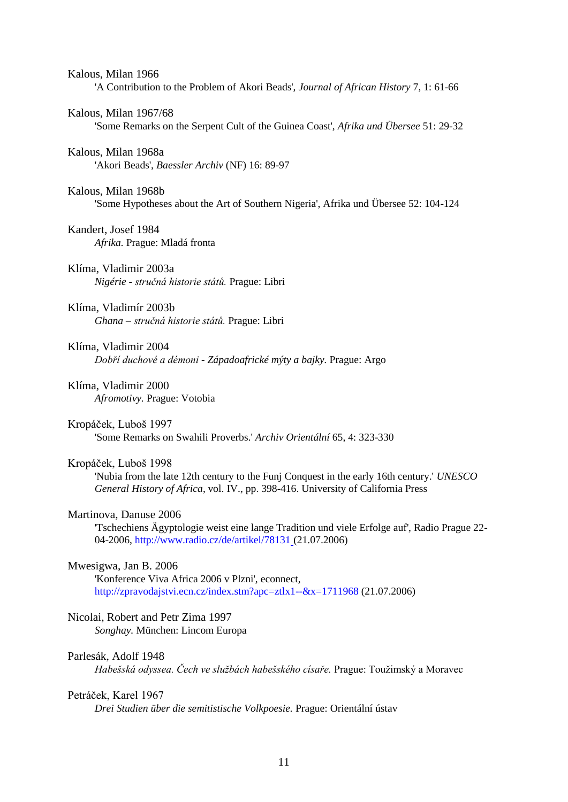| Kalous, Milan 1966<br>'A Contribution to the Problem of Akori Beads', Journal of African History 7, 1: 61-66                                                                                          |
|-------------------------------------------------------------------------------------------------------------------------------------------------------------------------------------------------------|
| Kalous, Milan 1967/68<br>Some Remarks on the Serpent Cult of the Guinea Coast', Afrika und Übersee 51: 29-32                                                                                          |
| Kalous, Milan 1968a<br>'Akori Beads', Baessler Archiv (NF) 16: 89-97                                                                                                                                  |
| Kalous, Milan 1968b<br>Some Hypotheses about the Art of Southern Nigeria', Afrika und Übersee 52: 104-124                                                                                             |
| Kandert, Josef 1984<br>Afrika. Prague: Mladá fronta                                                                                                                                                   |
| Klíma, Vladimir 2003a<br>Nigérie - stručná historie států. Prague: Libri                                                                                                                              |
| Klíma, Vladimír 2003b<br>Ghana – stručná historie států. Prague: Libri                                                                                                                                |
| Klíma, Vladimir 2004<br>Dobří duchové a démoni - Západoafrické mýty a bajky. Prague: Argo                                                                                                             |
| Klíma, Vladimir 2000<br>Afromotivy. Prague: Votobia                                                                                                                                                   |
| Kropáček, Luboš 1997<br>'Some Remarks on Swahili Proverbs.' Archiv Orientální 65, 4: 323-330                                                                                                          |
| Kropáček, Luboš 1998<br>'Nubia from the late 12th century to the Funj Conquest in the early 16th century.' UNESCO<br>General History of Africa, vol. IV., pp. 398-416. University of California Press |
| Martinova, Danuse 2006<br>'Tschechiens Ägyptologie weist eine lange Tradition und viele Erfolge auf', Radio Prague 22-<br>04-2006, http://www.radio.cz/de/artikel/78131_(21.07.2006)                  |
| Mwesigwa, Jan B. 2006                                                                                                                                                                                 |

'Konference Viva Africa 2006 v Plzni', econnect, <http://zpravodajstvi.ecn.cz/index.stm?apc=ztlx1--&x=1711968> (21.07.2006)

# Nicolai, Robert and Petr Zima 1997

*Songhay.* München: Lincom Europa

# Parlesák, Adolf 1948

Habešská odyssea. Čech ve službách habešského císaře. Prague: Toužimský a Moravec

# Petráček, Karel 1967

*Drei Studien über die semitistische Volkpoesie.* Prague: Orientální ústav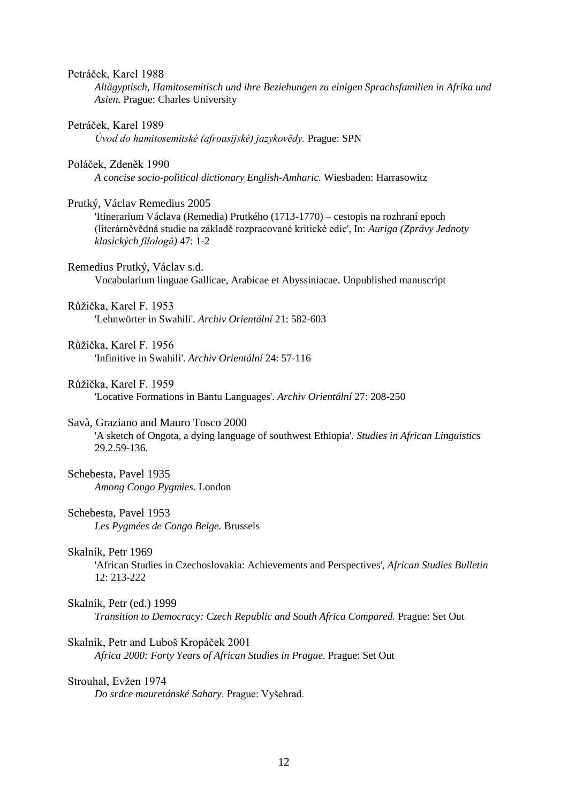#### Petráček, Karel 1988

*Altägyptisch, Hamitosemitisch und ihre Beziehungen zu einigen Sprachsfamilien in Afrika und Asien.* Prague: Charles University

#### Petráček, Karel 1989

*Úvod do hamitosemitské (afroasijské) jazykovědy.* Prague: SPN

#### Poláček, Zdeněk 1990

*A concise socio-political dictionary English-Amharic.* Wiesbaden: Harrasowitz

#### Prutký, Václav Remedius 2005

'Itinerarium Václava (Remedia) Prutkého (1713-1770) – cestopis na rozhraní epoch (literárněvědná studie na základě rozpracované kritické edic', In: *Auriga (Zprávy Jednoty klasických filologů)* 47: 1-2

Remedius Prutký, Václav s.d.

Vocabularium linguae Gallicae, Arabicae et Abyssiniacae. Unpublished manuscript

## Růžička, Karel F. 1953 'Lehnwörter in Swahili'. *Archiv Orientální* 21: 582-603

- Růžička, Karel F. 1956 'Infinitive in Swahili'. *Archiv Orientální* 24: 57-116
- Růžička, Karel F. 1959 'Locative Formations in Bantu Languages'. *Archiv Orientální* 27: 208-250

## Savà, Graziano and Mauro Tosco 2000

'A sketch of Ongota, a dying language of southwest Ethiopia'. *Studies in African Linguistics* 29.2.59-136.

## Schebesta, Pavel 1935 *Among Congo Pygmies.* London

#### Schebesta, Pavel 1953 *Les Pygmées de Congo Belge.* Brussels

Skalník, Petr 1969

'African Studies in Czechoslovakia: Achievements and Perspectives', *African Studies Bulletin* 12: 213-222

#### Skalník, Petr (ed.) 1999

*Transition to Democracy: Czech Republic and South Africa Compared.* Prague: Set Out

#### Skalník, Petr and Luboš Kropáček 2001

*Africa 2000: Forty Years of African Studies in Prague.* Prague: Set Out

#### Strouhal, Evžen 1974

*Do srdce mauretánské Sahary*. Prague: Vyšehrad.